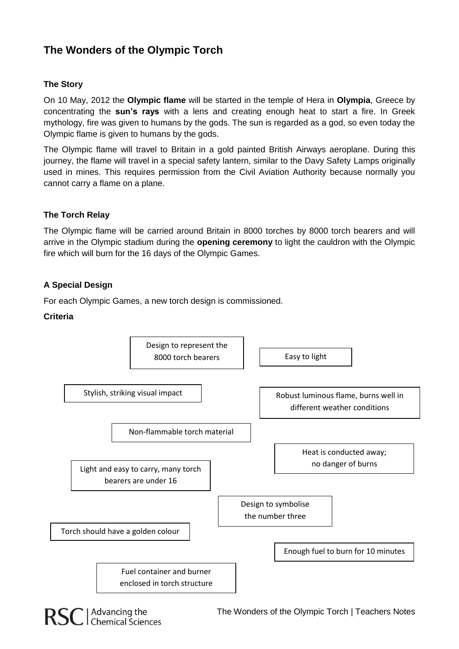# **The Wonders of the Olympic Torch**

## **The Story**

On 10 May, 2012 the **Olympic flame** will be started in the temple of Hera in **Olympia**, Greece by concentrating the **sun's rays** with a lens and creating enough heat to start a fire. In Greek mythology, fire was given to humans by the gods. The sun is regarded as a god, so even today the Olympic flame is given to humans by the gods.

The Olympic flame will travel to Britain in a gold painted British Airways aeroplane. During this journey, the flame will travel in a special safety lantern, similar to the Davy Safety Lamps originally used in mines. This requires permission from the Civil Aviation Authority because normally you cannot carry a flame on a plane.

## **The Torch Relay**

The Olympic flame will be carried around Britain in 8000 torches by 8000 torch bearers and will arrive in the Olympic stadium during the **opening ceremony** to light the cauldron with the Olympic fire which will burn for the 16 days of the Olympic Games.

## **A Special Design**

For each Olympic Games, a new torch design is commissioned.

#### **Criteria**

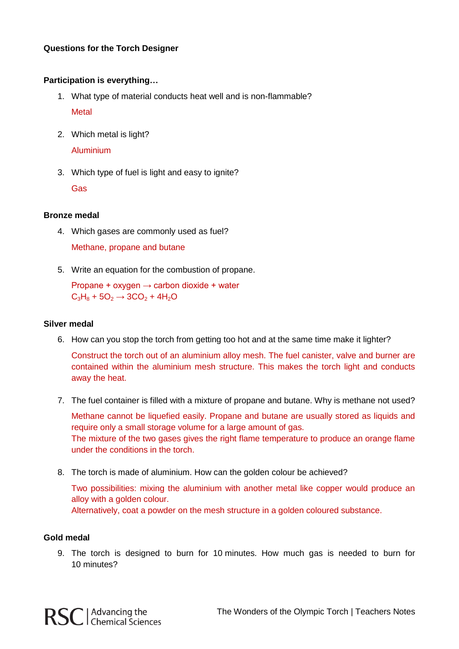#### **Questions for the Torch Designer**

#### **Participation is everything…**

- 1. What type of material conducts heat well and is non-flammable? **Metal**
- 2. Which metal is light? Aluminium
- 3. Which type of fuel is light and easy to ignite? Gas

## **Bronze medal**

- 4. Which gases are commonly used as fuel? Methane, propane and butane
- 5. Write an equation for the combustion of propane.

Propane + oxygen  $\rightarrow$  carbon dioxide + water  $C_3H_8 + 5O_2 \rightarrow 3CO_2 + 4H_2O$ 

#### **Silver medal**

6. How can you stop the torch from getting too hot and at the same time make it lighter?

Construct the torch out of an aluminium alloy mesh. The fuel canister, valve and burner are contained within the aluminium mesh structure. This makes the torch light and conducts away the heat.

7. The fuel container is filled with a mixture of propane and butane. Why is methane not used?

Methane cannot be liquefied easily. Propane and butane are usually stored as liquids and require only a small storage volume for a large amount of gas. The mixture of the two gases gives the right flame temperature to produce an orange flame under the conditions in the torch.

8. The torch is made of aluminium. How can the golden colour be achieved?

Two possibilities: mixing the aluminium with another metal like copper would produce an alloy with a golden colour. Alternatively, coat a powder on the mesh structure in a golden coloured substance.

#### **Gold medal**

RSC | Advancing the<br>
RSC | Chemical Sciences

9. The torch is designed to burn for 10 minutes. How much gas is needed to burn for 10 minutes?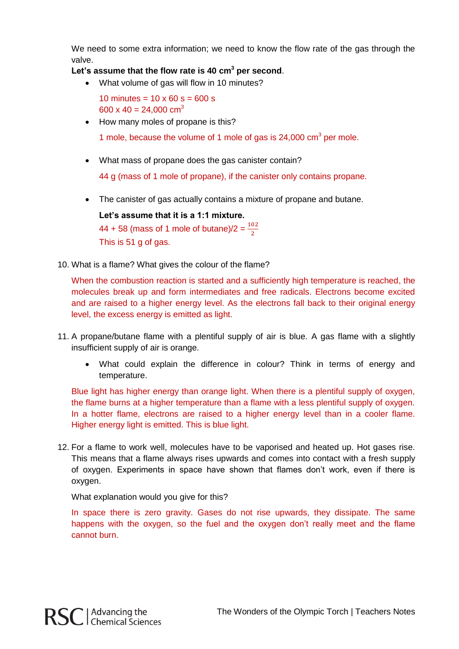We need to some extra information; we need to know the flow rate of the gas through the valve.

# **Let's assume that the flow rate is 40 cm<sup>3</sup> per second**.

What volume of gas will flow in 10 minutes?

10 minutes =  $10 \times 60$  s =  $600$  s 600 x 40 = 24,000 cm<sup>3</sup>

• How many moles of propane is this?

1 mole, because the volume of 1 mole of gas is  $24,000 \text{ cm}^3$  per mole.

What mass of propane does the gas canister contain?

44 g (mass of 1 mole of propane), if the canister only contains propane.

The canister of gas actually contains a mixture of propane and butane.

**Let's assume that it is a 1:1 mixture.**  $44 + 58$  (mass of 1 mole of butane)/2 =  $\frac{10}{2}$ This is  $51 \text{ a of }$  gas.

10. What is a flame? What gives the colour of the flame?

When the combustion reaction is started and a sufficiently high temperature is reached, the molecules break up and form intermediates and free radicals. Electrons become excited and are raised to a higher energy level. As the electrons fall back to their original energy level, the excess energy is emitted as light.

- 11. A propane/butane flame with a plentiful supply of air is blue. A gas flame with a slightly insufficient supply of air is orange.
	- What could explain the difference in colour? Think in terms of energy and temperature.

Blue light has higher energy than orange light. When there is a plentiful supply of oxygen, the flame burns at a higher temperature than a flame with a less plentiful supply of oxygen. In a hotter flame, electrons are raised to a higher energy level than in a cooler flame. Higher energy light is emitted. This is blue light.

12. For a flame to work well, molecules have to be vaporised and heated up. Hot gases rise. This means that a flame always rises upwards and comes into contact with a fresh supply of oxygen. Experiments in space have shown that flames don't work, even if there is oxygen.

What explanation would you give for this?

In space there is zero gravity. Gases do not rise upwards, they dissipate. The same happens with the oxygen, so the fuel and the oxygen don't really meet and the flame cannot burn.